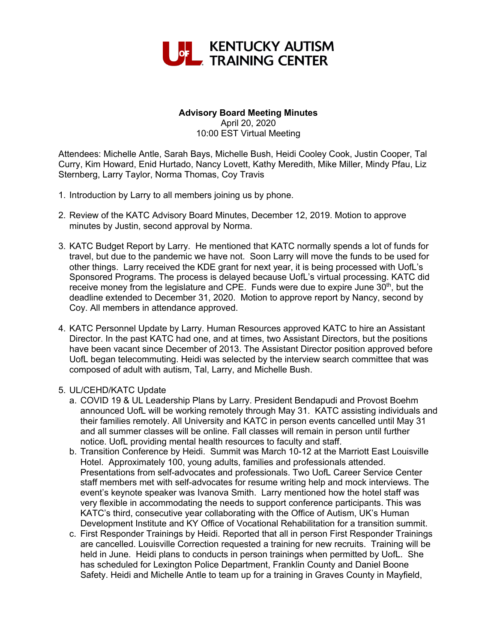

## **Advisory Board Meeting Minutes**

April 20, 2020 10:00 EST Virtual Meeting

Attendees: Michelle Antle, Sarah Bays, Michelle Bush, Heidi Cooley Cook, Justin Cooper, Tal Curry, Kim Howard, Enid Hurtado, Nancy Lovett, Kathy Meredith, Mike Miller, Mindy Pfau, Liz Sternberg, Larry Taylor, Norma Thomas, Coy Travis

- 1. Introduction by Larry to all members joining us by phone.
- 2. Review of the KATC Advisory Board Minutes, December 12, 2019. Motion to approve minutes by Justin, second approval by Norma.
- 3. KATC Budget Report by Larry. He mentioned that KATC normally spends a lot of funds for travel, but due to the pandemic we have not. Soon Larry will move the funds to be used for other things. Larry received the KDE grant for next year, it is being processed with UofL's Sponsored Programs. The process is delayed because UofL's virtual processing. KATC did receive money from the legislature and CPE. Funds were due to expire June  $30<sup>th</sup>$ , but the deadline extended to December 31, 2020. Motion to approve report by Nancy, second by Coy. All members in attendance approved.
- 4. KATC Personnel Update by Larry. Human Resources approved KATC to hire an Assistant Director. In the past KATC had one, and at times, two Assistant Directors, but the positions have been vacant since December of 2013. The Assistant Director position approved before UofL began telecommuting. Heidi was selected by the interview search committee that was composed of adult with autism, Tal, Larry, and Michelle Bush.

## 5. UL/CEHD/KATC Update

- a. COVID 19 & UL Leadership Plans by Larry. President Bendapudi and Provost Boehm announced UofL will be working remotely through May 31. KATC assisting individuals and their families remotely. All University and KATC in person events cancelled until May 31 and all summer classes will be online. Fall classes will remain in person until further notice. UofL providing mental health resources to faculty and staff.
- b. Transition Conference by Heidi. Summit was March 10-12 at the Marriott East Louisville Hotel. Approximately 100, young adults, families and professionals attended. Presentations from self-advocates and professionals. Two UofL Career Service Center staff members met with self-advocates for resume writing help and mock interviews. The event's keynote speaker was Ivanova Smith. Larry mentioned how the hotel staff was very flexible in accommodating the needs to support conference participants. This was KATC's third, consecutive year collaborating with the Office of Autism, UK's Human Development Institute and KY Office of Vocational Rehabilitation for a transition summit.
- c. First Responder Trainings by Heidi. Reported that all in person First Responder Trainings are cancelled. Louisville Correction requested a training for new recruits. Training will be held in June. Heidi plans to conducts in person trainings when permitted by UofL. She has scheduled for Lexington Police Department, Franklin County and Daniel Boone Safety. Heidi and Michelle Antle to team up for a training in Graves County in Mayfield,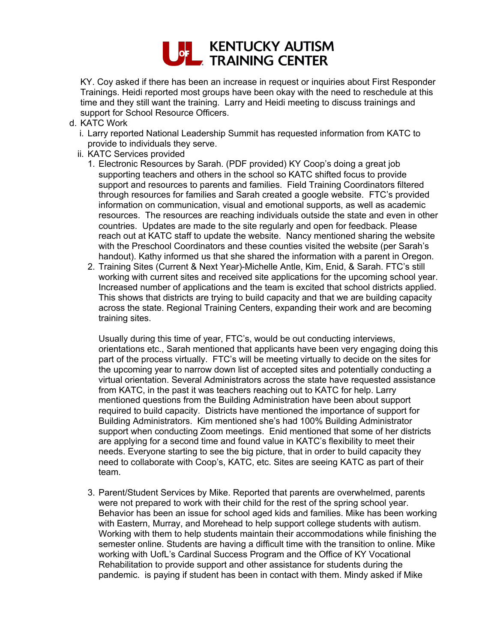

KY. Coy asked if there has been an increase in request or inquiries about First Responder Trainings. Heidi reported most groups have been okay with the need to reschedule at this time and they still want the training. Larry and Heidi meeting to discuss trainings and support for School Resource Officers.

- d. KATC Work
	- i. Larry reported National Leadership Summit has requested information from KATC to provide to individuals they serve.
	- ii. KATC Services provided
		- 1. Electronic Resources by Sarah. (PDF provided) KY Coop's doing a great job supporting teachers and others in the school so KATC shifted focus to provide support and resources to parents and families. Field Training Coordinators filtered through resources for families and Sarah created a google website. FTC's provided information on communication, visual and emotional supports, as well as academic resources. The resources are reaching individuals outside the state and even in other countries. Updates are made to the site regularly and open for feedback. Please reach out at KATC staff to update the website. Nancy mentioned sharing the website with the Preschool Coordinators and these counties visited the website (per Sarah's handout). Kathy informed us that she shared the information with a parent in Oregon.
		- 2. Training Sites (Current & Next Year)-Michelle Antle, Kim, Enid, & Sarah. FTC's still working with current sites and received site applications for the upcoming school year. Increased number of applications and the team is excited that school districts applied. This shows that districts are trying to build capacity and that we are building capacity across the state. Regional Training Centers, expanding their work and are becoming training sites.

Usually during this time of year, FTC's, would be out conducting interviews, orientations etc., Sarah mentioned that applicants have been very engaging doing this part of the process virtually. FTC's will be meeting virtually to decide on the sites for the upcoming year to narrow down list of accepted sites and potentially conducting a virtual orientation. Several Administrators across the state have requested assistance from KATC, in the past it was teachers reaching out to KATC for help. Larry mentioned questions from the Building Administration have been about support required to build capacity. Districts have mentioned the importance of support for Building Administrators. Kim mentioned she's had 100% Building Administrator support when conducting Zoom meetings. Enid mentioned that some of her districts are applying for a second time and found value in KATC's flexibility to meet their needs. Everyone starting to see the big picture, that in order to build capacity they need to collaborate with Coop's, KATC, etc. Sites are seeing KATC as part of their team.

3. Parent/Student Services by Mike. Reported that parents are overwhelmed, parents were not prepared to work with their child for the rest of the spring school year. Behavior has been an issue for school aged kids and families. Mike has been working with Eastern, Murray, and Morehead to help support college students with autism. Working with them to help students maintain their accommodations while finishing the semester online. Students are having a difficult time with the transition to online. Mike working with UofL's Cardinal Success Program and the Office of KY Vocational Rehabilitation to provide support and other assistance for students during the pandemic. is paying if student has been in contact with them. Mindy asked if Mike